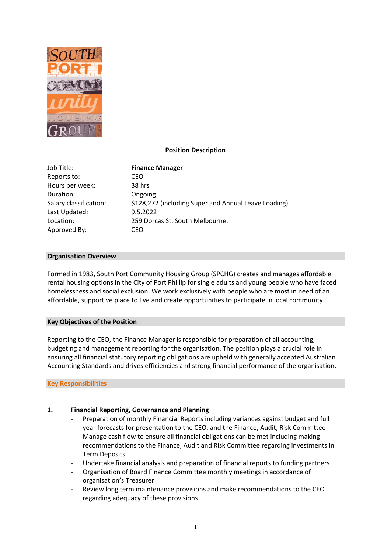

# **Position Description**

Job Title: **Finance Manager** Reports to: CEO Hours per week: 38 hrs Duration: Ongoing Last Updated: 9.5.2022 Approved By: CEO

Salary classification: \$128,272 (including Super and Annual Leave Loading) Location: 259 Dorcas St. South Melbourne.

## **Organisation Overview**

Formed in 1983, South Port Community Housing Group (SPCHG) creates and manages affordable rental housing options in the City of Port Phillip for single adults and young people who have faced homelessness and social exclusion. We work exclusively with people who are most in need of an affordable, supportive place to live and create opportunities to participate in local community.

## **Key Objectives of the Position**

Reporting to the CEO, the Finance Manager is responsible for preparation of all accounting, budgeting and management reporting for the organisation. The position plays a crucial role in ensuring all financial statutory reporting obligations are upheld with generally accepted Australian Accounting Standards and drives efficiencies and strong financial performance of the organisation.

## **Key Responsibilities**

## **1. Financial Reporting, Governance and Planning**

- Preparation of monthly Financial Reports including variances against budget and full year forecasts for presentation to the CEO, and the Finance, Audit, Risk Committee
- Manage cash flow to ensure all financial obligations can be met including making recommendations to the Finance, Audit and Risk Committee regarding investments in Term Deposits.
- Undertake financial analysis and preparation of financial reports to funding partners
- Organisation of Board Finance Committee monthly meetings in accordance of organisation's Treasurer
- Review long term maintenance provisions and make recommendations to the CEO regarding adequacy of these provisions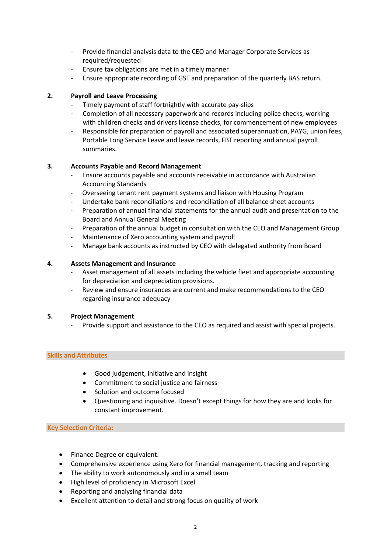- Provide financial analysis data to the CEO and Manager Corporate Services as required/requested
- Ensure tax obligations are met in a timely manner
- Ensure appropriate recording of GST and preparation of the quarterly BAS return.

## **2. Payroll and Leave Processing**

- Timely payment of staff fortnightly with accurate pay-slips
- Completion of all necessary paperwork and records including police checks, working with children checks and drivers license checks, for commencement of new employees
- Responsible for preparation of payroll and associated superannuation, PAYG, union fees, Portable Long Service Leave and leave records, FBT reporting and annual payroll summaries.

# **3. Accounts Payable and Record Management**

- Ensure accounts payable and accounts receivable in accordance with Australian Accounting Standards
- Overseeing tenant rent payment systems and liaison with Housing Program
- Undertake bank reconciliations and reconciliation of all balance sheet accounts
- Preparation of annual financial statements for the annual audit and presentation to the Board and Annual General Meeting
- Preparation of the annual budget in consultation with the CEO and Management Group
- Maintenance of Xero accounting system and payroll
- Manage bank accounts as instructed by CEO with delegated authority from Board

## **4. Assets Management and Insurance**

- Asset management of all assets including the vehicle fleet and appropriate accounting for depreciation and depreciation provisions.
- Review and ensure insurances are current and make recommendations to the CEO regarding insurance adequacy

## **5. Project Management**

Provide support and assistance to the CEO as required and assist with special projects.

## **Skills and Attributes**

- Good judgement, initiative and insight
- Commitment to social justice and fairness
- Solution and outcome focused
- Questioning and inquisitive. Doesn't except things for how they are and looks for constant improvement.

## **Key Selection Criteria:**

- Finance Degree or equivalent.
- Comprehensive experience using Xero for financial management, tracking and reporting
- The ability to work autonomously and in a small team
- High level of proficiency in Microsoft Excel
- Reporting and analysing financial data
- Excellent attention to detail and strong focus on quality of work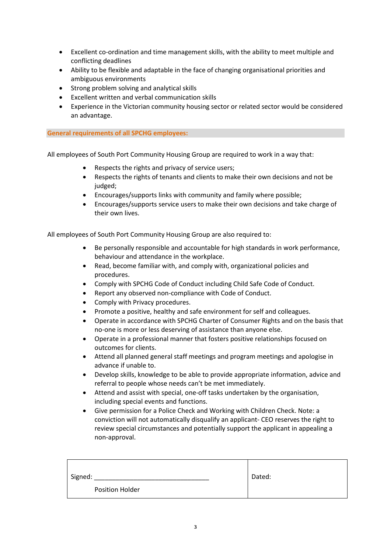- Excellent co-ordination and time management skills, with the ability to meet multiple and conflicting deadlines
- Ability to be flexible and adaptable in the face of changing organisational priorities and ambiguous environments
- Strong problem solving and analytical skills
- Excellent written and verbal communication skills
- Experience in the Victorian community housing sector or related sector would be considered an advantage.

# **General requirements of all SPCHG employees:**

All employees of South Port Community Housing Group are required to work in a way that:

- Respects the rights and privacy of service users;
- Respects the rights of tenants and clients to make their own decisions and not be judged:
- Encourages/supports links with community and family where possible;
- Encourages/supports service users to make their own decisions and take charge of their own lives.

All employees of South Port Community Housing Group are also required to:

- Be personally responsible and accountable for high standards in work performance, behaviour and attendance in the workplace.
- Read, become familiar with, and comply with, organizational policies and procedures.
- Comply with SPCHG Code of Conduct including Child Safe Code of Conduct.
- Report any observed non-compliance with Code of Conduct.
- Comply with Privacy procedures.
- Promote a positive, healthy and safe environment for self and colleagues.
- Operate in accordance with SPCHG Charter of Consumer Rights and on the basis that no-one is more or less deserving of assistance than anyone else.
- Operate in a professional manner that fosters positive relationships focused on outcomes for clients.
- Attend all planned general staff meetings and program meetings and apologise in advance if unable to.
- Develop skills, knowledge to be able to provide appropriate information, advice and referral to people whose needs can't be met immediately.
- Attend and assist with special, one-off tasks undertaken by the organisation, including special events and functions.
- Give permission for a Police Check and Working with Children Check. Note: a conviction will not automatically disqualify an applicant- CEO reserves the right to review special circumstances and potentially support the applicant in appealing a non-approval.

| Signed:                | Dated: |
|------------------------|--------|
| <b>Position Holder</b> |        |